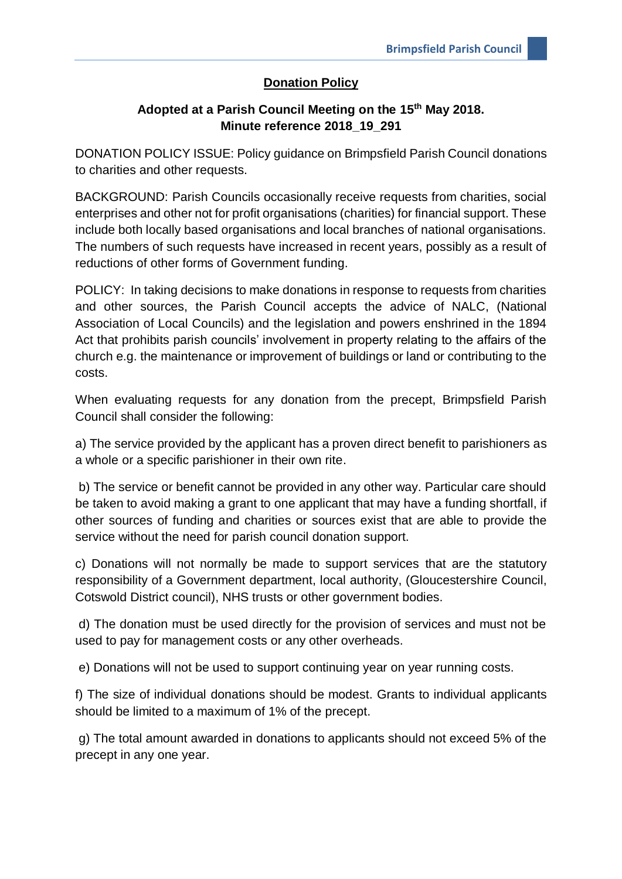## **Donation Policy**

## **Adopted at a Parish Council Meeting on the 15th May 2018. Minute reference 2018\_19\_291**

DONATION POLICY ISSUE: Policy guidance on Brimpsfield Parish Council donations to charities and other requests.

BACKGROUND: Parish Councils occasionally receive requests from charities, social enterprises and other not for profit organisations (charities) for financial support. These include both locally based organisations and local branches of national organisations. The numbers of such requests have increased in recent years, possibly as a result of reductions of other forms of Government funding.

POLICY: In taking decisions to make donations in response to requests from charities and other sources, the Parish Council accepts the advice of NALC, (National Association of Local Councils) and the legislation and powers enshrined in the 1894 Act that prohibits parish councils' involvement in property relating to the affairs of the church e.g. the maintenance or improvement of buildings or land or contributing to the costs.

When evaluating requests for any donation from the precept, Brimpsfield Parish Council shall consider the following:

a) The service provided by the applicant has a proven direct benefit to parishioners as a whole or a specific parishioner in their own rite.

b) The service or benefit cannot be provided in any other way. Particular care should be taken to avoid making a grant to one applicant that may have a funding shortfall, if other sources of funding and charities or sources exist that are able to provide the service without the need for parish council donation support.

c) Donations will not normally be made to support services that are the statutory responsibility of a Government department, local authority, (Gloucestershire Council, Cotswold District council), NHS trusts or other government bodies.

d) The donation must be used directly for the provision of services and must not be used to pay for management costs or any other overheads.

e) Donations will not be used to support continuing year on year running costs.

f) The size of individual donations should be modest. Grants to individual applicants should be limited to a maximum of 1% of the precept.

g) The total amount awarded in donations to applicants should not exceed 5% of the precept in any one year.